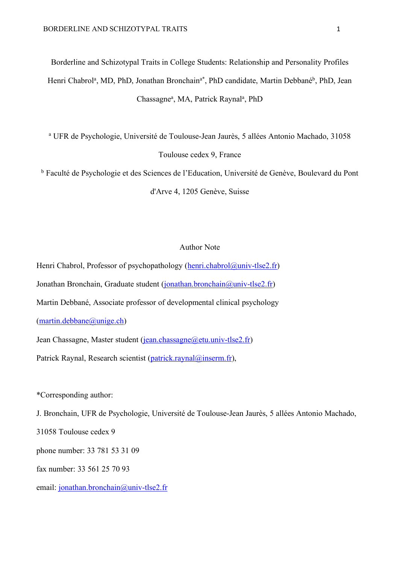Borderline and Schizotypal Traits in College Students: Relationship and Personality Profiles Henri Chabrol<sup>a</sup>, MD, PhD, Jonathan Bronchain<sup>a\*</sup>, PhD candidate, Martin Debbané<sup>b</sup>, PhD, Jean Chassagne<sup>a</sup>, MA, Patrick Raynal<sup>a</sup>, PhD

<sup>a</sup> UFR de Psychologie, Université de Toulouse-Jean Jaurès, 5 allées Antonio Machado, 31058 Toulouse cedex 9, France

<sup>b</sup> Faculté de Psychologie et des Sciences de l'Education, Université de Genève, Boulevard du Pont d'Arve 4, 1205 Genève, Suisse

# Author Note

Henri Chabrol, Professor of psychopathology (henri.chabrol@univ-tlse2.fr) Jonathan Bronchain, Graduate student (jonathan.bronchain@univ-tlse2.fr) Martin Debbané, Associate professor of developmental clinical psychology

 $(\text{martin}.debbane@$ unige.ch)

Jean Chassagne, Master student (jean.chassagne@etu.univ-tlse2.fr)

Patrick Raynal, Research scientist (patrick.raynal@inserm.fr),

\*Corresponding author:

J. Bronchain, UFR de Psychologie, Université de Toulouse-Jean Jaurès, 5 allées Antonio Machado,

31058 Toulouse cedex 9

phone number: 33 781 53 31 09

fax number: 33 561 25 70 93

email: jonathan.bronchain@univ-tlse2.fr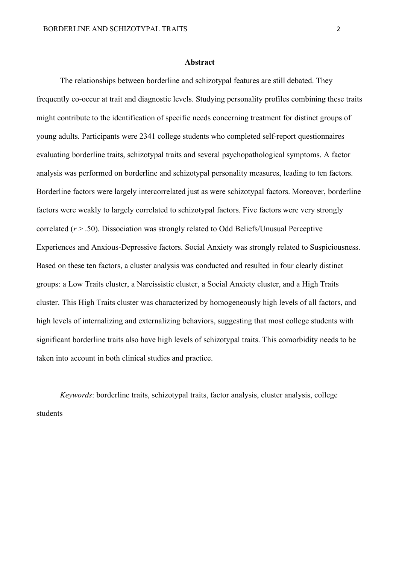#### **Abstract**

The relationships between borderline and schizotypal features are still debated. They frequently co-occur at trait and diagnostic levels. Studying personality profiles combining these traits might contribute to the identification of specific needs concerning treatment for distinct groups of young adults. Participants were 2341 college students who completed self-report questionnaires evaluating borderline traits, schizotypal traits and several psychopathological symptoms. A factor analysis was performed on borderline and schizotypal personality measures, leading to ten factors. Borderline factors were largely intercorrelated just as were schizotypal factors. Moreover, borderline factors were weakly to largely correlated to schizotypal factors. Five factors were very strongly correlated (*r* > .50). Dissociation was strongly related to Odd Beliefs/Unusual Perceptive Experiences and Anxious-Depressive factors. Social Anxiety was strongly related to Suspiciousness. Based on these ten factors, a cluster analysis was conducted and resulted in four clearly distinct groups: a Low Traits cluster, a Narcissistic cluster, a Social Anxiety cluster, and a High Traits cluster. This High Traits cluster was characterized by homogeneously high levels of all factors, and high levels of internalizing and externalizing behaviors, suggesting that most college students with significant borderline traits also have high levels of schizotypal traits. This comorbidity needs to be taken into account in both clinical studies and practice.

*Keywords*: borderline traits, schizotypal traits, factor analysis, cluster analysis, college students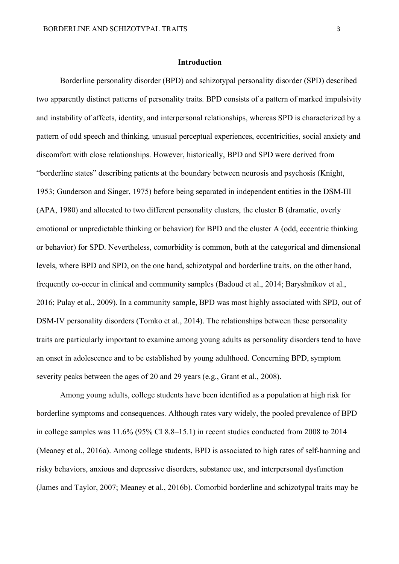## **Introduction**

Borderline personality disorder (BPD) and schizotypal personality disorder (SPD) described two apparently distinct patterns of personality traits. BPD consists of a pattern of marked impulsivity and instability of affects, identity, and interpersonal relationships, whereas SPD is characterized by a pattern of odd speech and thinking, unusual perceptual experiences, eccentricities, social anxiety and discomfort with close relationships. However, historically, BPD and SPD were derived from "borderline states" describing patients at the boundary between neurosis and psychosis (Knight, 1953; Gunderson and Singer, 1975) before being separated in independent entities in the DSM-III (APA, 1980) and allocated to two different personality clusters, the cluster B (dramatic, overly emotional or unpredictable thinking or behavior) for BPD and the cluster A (odd, eccentric thinking or behavior) for SPD. Nevertheless, comorbidity is common, both at the categorical and dimensional levels, where BPD and SPD, on the one hand, schizotypal and borderline traits, on the other hand, frequently co-occur in clinical and community samples (Badoud et al., 2014; Baryshnikov et al., 2016; Pulay et al., 2009). In a community sample, BPD was most highly associated with SPD, out of DSM-IV personality disorders (Tomko et al., 2014). The relationships between these personality traits are particularly important to examine among young adults as personality disorders tend to have an onset in adolescence and to be established by young adulthood. Concerning BPD, symptom severity peaks between the ages of 20 and 29 years (e.g., Grant et al., 2008).

Among young adults, college students have been identified as a population at high risk for borderline symptoms and consequences. Although rates vary widely, the pooled prevalence of BPD in college samples was 11.6% (95% CI 8.8–15.1) in recent studies conducted from 2008 to 2014 (Meaney et al., 2016a). Among college students, BPD is associated to high rates of self-harming and risky behaviors, anxious and depressive disorders, substance use, and interpersonal dysfunction (James and Taylor, 2007; Meaney et al., 2016b). Comorbid borderline and schizotypal traits may be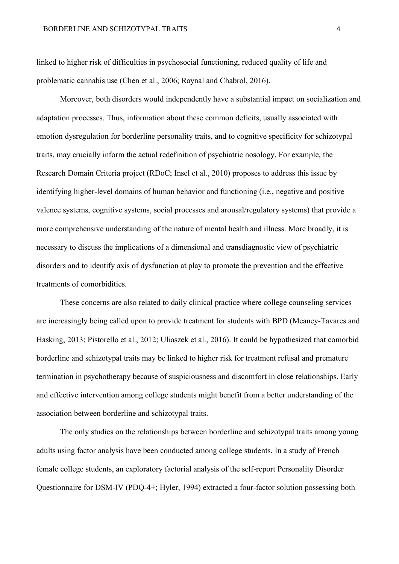linked to higher risk of difficulties in psychosocial functioning, reduced quality of life and problematic cannabis use (Chen et al., 2006; Raynal and Chabrol, 2016).

Moreover, both disorders would independently have a substantial impact on socialization and adaptation processes. Thus, information about these common deficits, usually associated with emotion dysregulation for borderline personality traits, and to cognitive specificity for schizotypal traits, may crucially inform the actual redefinition of psychiatric nosology. For example, the Research Domain Criteria project (RDoC; Insel et al., 2010) proposes to address this issue by identifying higher-level domains of human behavior and functioning (i.e., negative and positive valence systems, cognitive systems, social processes and arousal/regulatory systems) that provide a more comprehensive understanding of the nature of mental health and illness. More broadly, it is necessary to discuss the implications of a dimensional and transdiagnostic view of psychiatric disorders and to identify axis of dysfunction at play to promote the prevention and the effective treatments of comorbidities.

These concerns are also related to daily clinical practice where college counseling services are increasingly being called upon to provide treatment for students with BPD (Meaney-Tavares and Hasking, 2013; Pistorello et al., 2012; Uliaszek et al., 2016). It could be hypothesized that comorbid borderline and schizotypal traits may be linked to higher risk for treatment refusal and premature termination in psychotherapy because of suspiciousness and discomfort in close relationships. Early and effective intervention among college students might benefit from a better understanding of the association between borderline and schizotypal traits.

The only studies on the relationships between borderline and schizotypal traits among young adults using factor analysis have been conducted among college students. In a study of French female college students, an exploratory factorial analysis of the self-report Personality Disorder Questionnaire for DSM-IV (PDQ-4+; Hyler, 1994) extracted a four-factor solution possessing both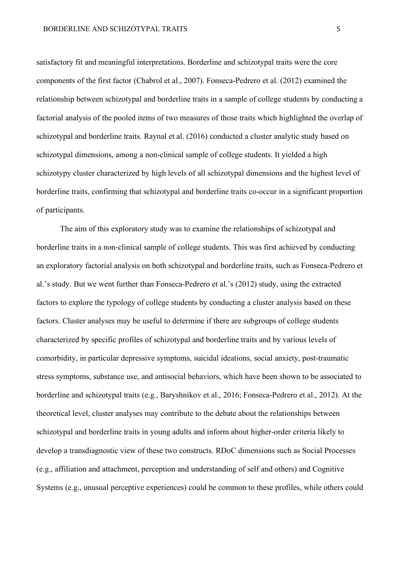satisfactory fit and meaningful interpretations. Borderline and schizotypal traits were the core components of the first factor (Chabrol et al., 2007). Fonseca-Pedrero et al. (2012) examined the relationship between schizotypal and borderline traits in a sample of college students by conducting a factorial analysis of the pooled items of two measures of those traits which highlighted the overlap of schizotypal and borderline traits. Raynal et al. (2016) conducted a cluster analytic study based on schizotypal dimensions, among a non-clinical sample of college students. It yielded a high schizotypy cluster characterized by high levels of all schizotypal dimensions and the highest level of borderline traits, confirming that schizotypal and borderline traits co-occur in a significant proportion of participants.

The aim of this exploratory study was to examine the relationships of schizotypal and borderline traits in a non-clinical sample of college students. This was first achieved by conducting an exploratory factorial analysis on both schizotypal and borderline traits, such as Fonseca-Pedrero et al.'s study. But we went further than Fonseca-Pedrero et al.'s (2012) study, using the extracted factors to explore the typology of college students by conducting a cluster analysis based on these factors. Cluster analyses may be useful to determine if there are subgroups of college students characterized by specific profiles of schizotypal and borderline traits and by various levels of comorbidity, in particular depressive symptoms, suicidal ideations, social anxiety, post-traumatic stress symptoms, substance use, and antisocial behaviors, which have been shown to be associated to borderline and schizotypal traits (e.g., Baryshnikov et al., 2016; Fonseca-Pedrero et al., 2012). At the theoretical level, cluster analyses may contribute to the debate about the relationships between schizotypal and borderline traits in young adults and inform about higher-order criteria likely to develop a transdiagnostic view of these two constructs. RDoC dimensions such as Social Processes (e.g., affiliation and attachment, perception and understanding of self and others) and Cognitive Systems (e.g., unusual perceptive experiences) could be common to these profiles, while others could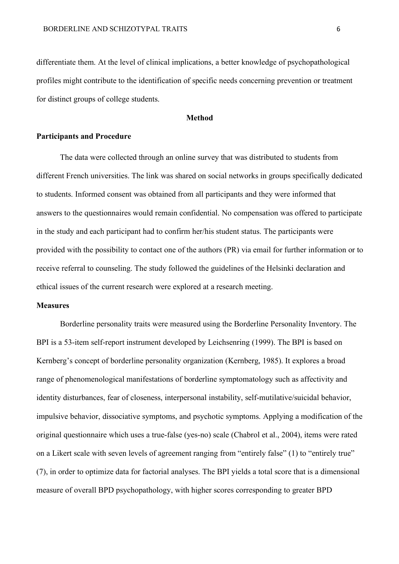differentiate them. At the level of clinical implications, a better knowledge of psychopathological profiles might contribute to the identification of specific needs concerning prevention or treatment for distinct groups of college students.

#### **Method**

# **Participants and Procedure**

The data were collected through an online survey that was distributed to students from different French universities. The link was shared on social networks in groups specifically dedicated to students. Informed consent was obtained from all participants and they were informed that answers to the questionnaires would remain confidential. No compensation was offered to participate in the study and each participant had to confirm her/his student status. The participants were provided with the possibility to contact one of the authors (PR) via email for further information or to receive referral to counseling. The study followed the guidelines of the Helsinki declaration and ethical issues of the current research were explored at a research meeting.

## **Measures**

Borderline personality traits were measured using the Borderline Personality Inventory. The BPI is a 53-item self-report instrument developed by Leichsenring (1999). The BPI is based on Kernberg's concept of borderline personality organization (Kernberg, 1985). It explores a broad range of phenomenological manifestations of borderline symptomatology such as affectivity and identity disturbances, fear of closeness, interpersonal instability, self-mutilative/suicidal behavior, impulsive behavior, dissociative symptoms, and psychotic symptoms. Applying a modification of the original questionnaire which uses a true-false (yes-no) scale (Chabrol et al., 2004), items were rated on a Likert scale with seven levels of agreement ranging from "entirely false" (1) to "entirely true" (7), in order to optimize data for factorial analyses. The BPI yields a total score that is a dimensional measure of overall BPD psychopathology, with higher scores corresponding to greater BPD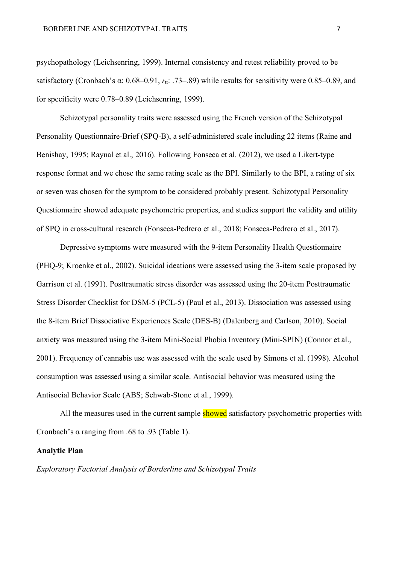psychopathology (Leichsenring, 1999). Internal consistency and retest reliability proved to be satisfactory (Cronbach's α: 0.68–0.91, *r*tt: .73–.89) while results for sensitivity were 0.85–0.89, and for specificity were 0.78–0.89 (Leichsenring, 1999).

Schizotypal personality traits were assessed using the French version of the Schizotypal Personality Questionnaire-Brief (SPQ-B), a self-administered scale including 22 items (Raine and Benishay, 1995; Raynal et al., 2016). Following Fonseca et al. (2012), we used a Likert-type response format and we chose the same rating scale as the BPI. Similarly to the BPI, a rating of six or seven was chosen for the symptom to be considered probably present. Schizotypal Personality Questionnaire showed adequate psychometric properties, and studies support the validity and utility of SPQ in cross-cultural research (Fonseca-Pedrero et al., 2018; Fonseca-Pedrero et al., 2017).

Depressive symptoms were measured with the 9-item Personality Health Questionnaire (PHQ-9; Kroenke et al., 2002). Suicidal ideations were assessed using the 3-item scale proposed by Garrison et al. (1991). Posttraumatic stress disorder was assessed using the 20-item Posttraumatic Stress Disorder Checklist for DSM-5 (PCL-5) (Paul et al., 2013). Dissociation was assessed using the 8-item Brief Dissociative Experiences Scale (DES-B) (Dalenberg and Carlson, 2010). Social anxiety was measured using the 3-item Mini-Social Phobia Inventory (Mini-SPIN) (Connor et al., 2001). Frequency of cannabis use was assessed with the scale used by Simons et al. (1998). Alcohol consumption was assessed using a similar scale. Antisocial behavior was measured using the Antisocial Behavior Scale (ABS; Schwab-Stone et al., 1999).

All the measures used in the current sample showed satisfactory psychometric properties with Cronbach's  $\alpha$  ranging from .68 to .93 (Table 1).

## **Analytic Plan**

*Exploratory Factorial Analysis of Borderline and Schizotypal Traits*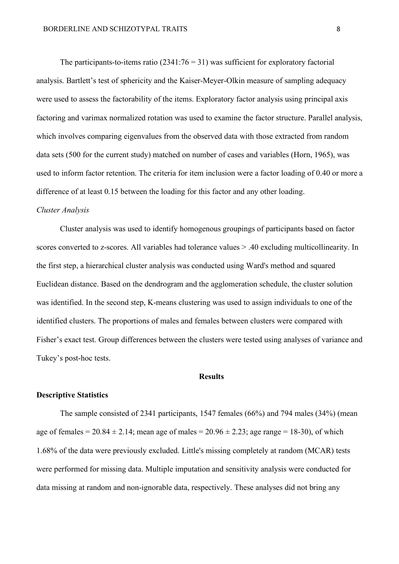The participants-to-items ratio  $(2341:76 = 31)$  was sufficient for exploratory factorial analysis. Bartlett's test of sphericity and the Kaiser-Meyer-Olkin measure of sampling adequacy were used to assess the factorability of the items. Exploratory factor analysis using principal axis factoring and varimax normalized rotation was used to examine the factor structure. Parallel analysis, which involves comparing eigenvalues from the observed data with those extracted from random data sets (500 for the current study) matched on number of cases and variables (Horn, 1965), was used to inform factor retention. The criteria for item inclusion were a factor loading of 0.40 or more a difference of at least 0.15 between the loading for this factor and any other loading.

## *Cluster Analysis*

Cluster analysis was used to identify homogenous groupings of participants based on factor scores converted to z-scores. All variables had tolerance values > .40 excluding multicollinearity. In the first step, a hierarchical cluster analysis was conducted using Ward's method and squared Euclidean distance. Based on the dendrogram and the agglomeration schedule, the cluster solution was identified. In the second step, K-means clustering was used to assign individuals to one of the identified clusters. The proportions of males and females between clusters were compared with Fisher's exact test. Group differences between the clusters were tested using analyses of variance and Tukey's post-hoc tests.

## **Results**

## **Descriptive Statistics**

The sample consisted of 2341 participants, 1547 females (66%) and 794 males (34%) (mean age of females =  $20.84 \pm 2.14$ ; mean age of males =  $20.96 \pm 2.23$ ; age range = 18-30), of which 1.68% of the data were previously excluded. Little's missing completely at random (MCAR) tests were performed for missing data. Multiple imputation and sensitivity analysis were conducted for data missing at random and non-ignorable data, respectively. These analyses did not bring any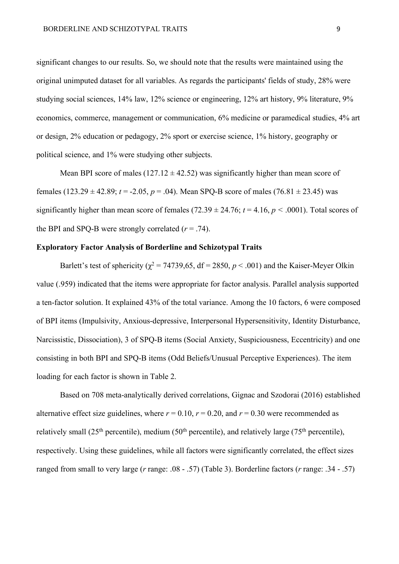significant changes to our results. So, we should note that the results were maintained using the original unimputed dataset for all variables. As regards the participants' fields of study, 28% were studying social sciences, 14% law, 12% science or engineering, 12% art history, 9% literature, 9% economics, commerce, management or communication, 6% medicine or paramedical studies, 4% art or design, 2% education or pedagogy, 2% sport or exercise science, 1% history, geography or political science, and 1% were studying other subjects.

Mean BPI score of males (127.12  $\pm$  42.52) was significantly higher than mean score of females  $(123.29 \pm 42.89; t = -2.05, p = .04)$ . Mean SPQ-B score of males  $(76.81 \pm 23.45)$  was significantly higher than mean score of females  $(72.39 \pm 24.76; t = 4.16, p < .0001)$ . Total scores of the BPI and SPQ-B were strongly correlated  $(r = .74)$ .

# **Exploratory Factor Analysis of Borderline and Schizotypal Traits**

Barlett's test of sphericity ( $\chi^2$  = 74739,65, df = 2850, *p* < .001) and the Kaiser-Meyer Olkin value (.959) indicated that the items were appropriate for factor analysis. Parallel analysis supported a ten-factor solution. It explained 43% of the total variance. Among the 10 factors, 6 were composed of BPI items (Impulsivity, Anxious-depressive, Interpersonal Hypersensitivity, Identity Disturbance, Narcissistic, Dissociation), 3 of SPQ-B items (Social Anxiety, Suspiciousness, Eccentricity) and one consisting in both BPI and SPQ-B items (Odd Beliefs/Unusual Perceptive Experiences). The item loading for each factor is shown in Table 2.

Based on 708 meta-analytically derived correlations, Gignac and Szodorai (2016) established alternative effect size guidelines, where  $r = 0.10$ ,  $r = 0.20$ , and  $r = 0.30$  were recommended as relatively small (25<sup>th</sup> percentile), medium (50<sup>th</sup> percentile), and relatively large (75<sup>th</sup> percentile), respectively. Using these guidelines, while all factors were significantly correlated, the effect sizes ranged from small to very large (*r* range: .08 - .57) (Table 3). Borderline factors (*r* range: .34 - .57)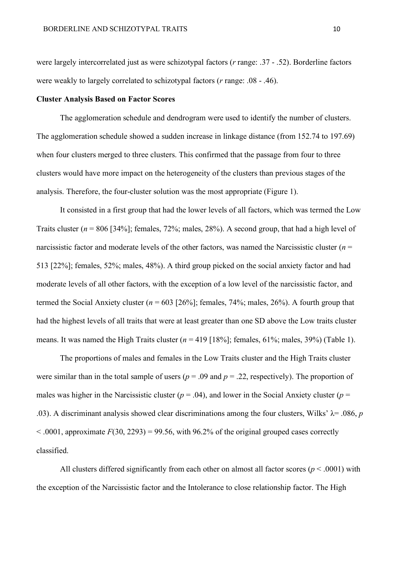were largely intercorrelated just as were schizotypal factors (*r* range: .37 - .52). Borderline factors were weakly to largely correlated to schizotypal factors (*r* range: .08 - .46).

## **Cluster Analysis Based on Factor Scores**

The agglomeration schedule and dendrogram were used to identify the number of clusters. The agglomeration schedule showed a sudden increase in linkage distance (from 152.74 to 197.69) when four clusters merged to three clusters. This confirmed that the passage from four to three clusters would have more impact on the heterogeneity of the clusters than previous stages of the analysis. Therefore, the four-cluster solution was the most appropriate (Figure 1).

It consisted in a first group that had the lower levels of all factors, which was termed the Low Traits cluster (*n* = 806 [34%]; females, 72%; males, 28%). A second group, that had a high level of narcissistic factor and moderate levels of the other factors, was named the Narcissistic cluster  $(n =$ 513 [22%]; females, 52%; males, 48%). A third group picked on the social anxiety factor and had moderate levels of all other factors, with the exception of a low level of the narcissistic factor, and termed the Social Anxiety cluster  $(n = 603 \, [26\%]$ ; females, 74%; males, 26%). A fourth group that had the highest levels of all traits that were at least greater than one SD above the Low traits cluster means. It was named the High Traits cluster  $(n = 419 \mid 18\%]$ ; females,  $61\%$ ; males,  $39\%$ ) (Table 1).

The proportions of males and females in the Low Traits cluster and the High Traits cluster were similar than in the total sample of users ( $p = .09$  and  $p = .22$ , respectively). The proportion of males was higher in the Narcissistic cluster ( $p = .04$ ), and lower in the Social Anxiety cluster ( $p =$ .03). A discriminant analysis showed clear discriminations among the four clusters, Wilks'  $\lambda$ = .086, *p*  $\leq$  .0001, approximate  $F(30, 2293) = 99.56$ , with 96.2% of the original grouped cases correctly classified.

All clusters differed significantly from each other on almost all factor scores ( $p < .0001$ ) with the exception of the Narcissistic factor and the Intolerance to close relationship factor. The High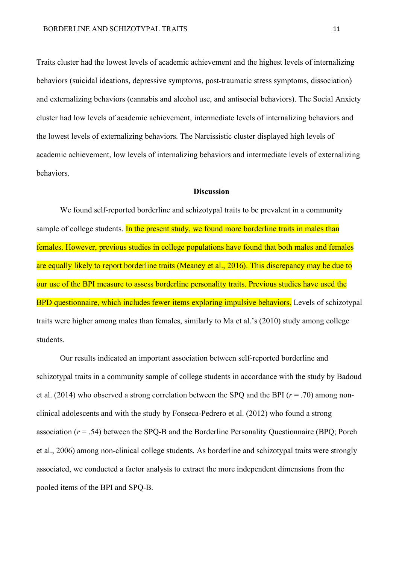Traits cluster had the lowest levels of academic achievement and the highest levels of internalizing behaviors (suicidal ideations, depressive symptoms, post-traumatic stress symptoms, dissociation) and externalizing behaviors (cannabis and alcohol use, and antisocial behaviors). The Social Anxiety cluster had low levels of academic achievement, intermediate levels of internalizing behaviors and the lowest levels of externalizing behaviors. The Narcissistic cluster displayed high levels of academic achievement, low levels of internalizing behaviors and intermediate levels of externalizing behaviors.

## **Discussion**

We found self-reported borderline and schizotypal traits to be prevalent in a community sample of college students. In the present study, we found more borderline traits in males than females. However, previous studies in college populations have found that both males and females are equally likely to report borderline traits (Meaney et al., 2016). This discrepancy may be due to our use of the BPI measure to assess borderline personality traits. Previous studies have used the BPD questionnaire, which includes fewer items exploring impulsive behaviors. Levels of schizotypal traits were higher among males than females, similarly to Ma et al.'s (2010) study among college students.

Our results indicated an important association between self-reported borderline and schizotypal traits in a community sample of college students in accordance with the study by Badoud et al. (2014) who observed a strong correlation between the SPQ and the BPI (*r* = .70) among nonclinical adolescents and with the study by Fonseca-Pedrero et al. (2012) who found a strong association (*r* = .54) between the SPQ-B and the Borderline Personality Questionnaire (BPQ; Poreh et al., 2006) among non-clinical college students. As borderline and schizotypal traits were strongly associated, we conducted a factor analysis to extract the more independent dimensions from the pooled items of the BPI and SPQ-B.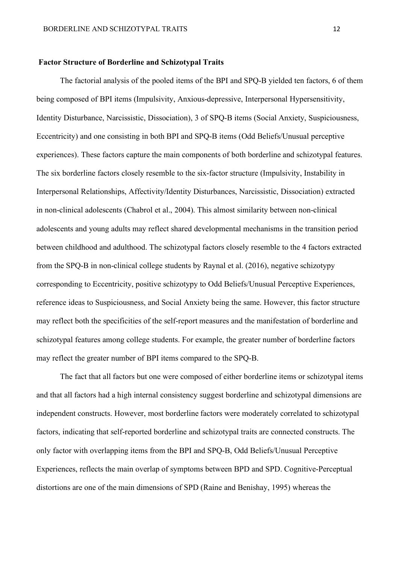#### **Factor Structure of Borderline and Schizotypal Traits**

The factorial analysis of the pooled items of the BPI and SPQ-B yielded ten factors, 6 of them being composed of BPI items (Impulsivity, Anxious-depressive, Interpersonal Hypersensitivity, Identity Disturbance, Narcissistic, Dissociation), 3 of SPQ-B items (Social Anxiety, Suspiciousness, Eccentricity) and one consisting in both BPI and SPQ-B items (Odd Beliefs/Unusual perceptive experiences). These factors capture the main components of both borderline and schizotypal features. The six borderline factors closely resemble to the six-factor structure (Impulsivity, Instability in Interpersonal Relationships, Affectivity/Identity Disturbances, Narcissistic, Dissociation) extracted in non-clinical adolescents (Chabrol et al., 2004). This almost similarity between non-clinical adolescents and young adults may reflect shared developmental mechanisms in the transition period between childhood and adulthood. The schizotypal factors closely resemble to the 4 factors extracted from the SPQ-B in non-clinical college students by Raynal et al. (2016), negative schizotypy corresponding to Eccentricity, positive schizotypy to Odd Beliefs/Unusual Perceptive Experiences, reference ideas to Suspiciousness, and Social Anxiety being the same. However, this factor structure may reflect both the specificities of the self-report measures and the manifestation of borderline and schizotypal features among college students. For example, the greater number of borderline factors may reflect the greater number of BPI items compared to the SPQ-B.

The fact that all factors but one were composed of either borderline items or schizotypal items and that all factors had a high internal consistency suggest borderline and schizotypal dimensions are independent constructs. However, most borderline factors were moderately correlated to schizotypal factors, indicating that self-reported borderline and schizotypal traits are connected constructs. The only factor with overlapping items from the BPI and SPQ-B, Odd Beliefs/Unusual Perceptive Experiences, reflects the main overlap of symptoms between BPD and SPD. Cognitive-Perceptual distortions are one of the main dimensions of SPD (Raine and Benishay, 1995) whereas the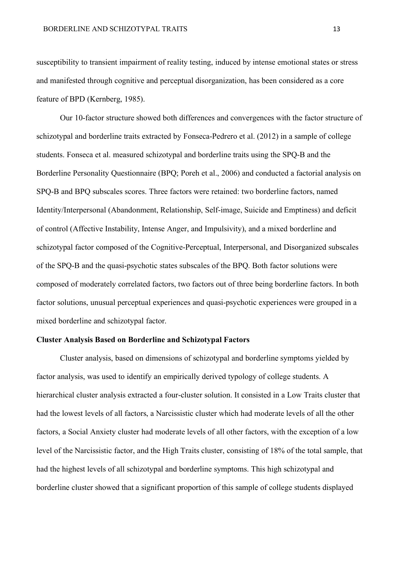susceptibility to transient impairment of reality testing, induced by intense emotional states or stress and manifested through cognitive and perceptual disorganization, has been considered as a core feature of BPD (Kernberg, 1985).

Our 10-factor structure showed both differences and convergences with the factor structure of schizotypal and borderline traits extracted by Fonseca-Pedrero et al. (2012) in a sample of college students. Fonseca et al. measured schizotypal and borderline traits using the SPQ-B and the Borderline Personality Questionnaire (BPQ; Poreh et al., 2006) and conducted a factorial analysis on SPQ-B and BPQ subscales scores. Three factors were retained: two borderline factors, named Identity/Interpersonal (Abandonment, Relationship, Self-image, Suicide and Emptiness) and deficit of control (Affective Instability, Intense Anger, and Impulsivity), and a mixed borderline and schizotypal factor composed of the Cognitive-Perceptual, Interpersonal, and Disorganized subscales of the SPQ-B and the quasi-psychotic states subscales of the BPQ. Both factor solutions were composed of moderately correlated factors, two factors out of three being borderline factors. In both factor solutions, unusual perceptual experiences and quasi-psychotic experiences were grouped in a mixed borderline and schizotypal factor.

## **Cluster Analysis Based on Borderline and Schizotypal Factors**

Cluster analysis, based on dimensions of schizotypal and borderline symptoms yielded by factor analysis, was used to identify an empirically derived typology of college students. A hierarchical cluster analysis extracted a four-cluster solution. It consisted in a Low Traits cluster that had the lowest levels of all factors, a Narcissistic cluster which had moderate levels of all the other factors, a Social Anxiety cluster had moderate levels of all other factors, with the exception of a low level of the Narcissistic factor, and the High Traits cluster, consisting of 18% of the total sample, that had the highest levels of all schizotypal and borderline symptoms. This high schizotypal and borderline cluster showed that a significant proportion of this sample of college students displayed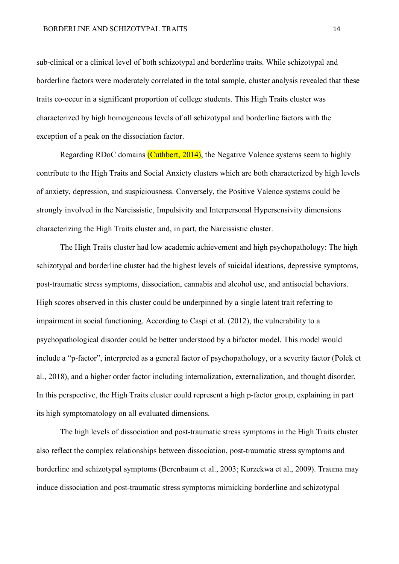sub-clinical or a clinical level of both schizotypal and borderline traits. While schizotypal and borderline factors were moderately correlated in the total sample, cluster analysis revealed that these traits co-occur in a significant proportion of college students. This High Traits cluster was characterized by high homogeneous levels of all schizotypal and borderline factors with the exception of a peak on the dissociation factor.

Regarding RDoC domains (Cuthbert, 2014), the Negative Valence systems seem to highly contribute to the High Traits and Social Anxiety clusters which are both characterized by high levels of anxiety, depression, and suspiciousness. Conversely, the Positive Valence systems could be strongly involved in the Narcissistic, Impulsivity and Interpersonal Hypersensivity dimensions characterizing the High Traits cluster and, in part, the Narcissistic cluster.

The High Traits cluster had low academic achievement and high psychopathology: The high schizotypal and borderline cluster had the highest levels of suicidal ideations, depressive symptoms, post-traumatic stress symptoms, dissociation, cannabis and alcohol use, and antisocial behaviors. High scores observed in this cluster could be underpinned by a single latent trait referring to impairment in social functioning. According to Caspi et al. (2012), the vulnerability to a psychopathological disorder could be better understood by a bifactor model. This model would include a "p-factor", interpreted as a general factor of psychopathology, or a severity factor (Polek et al., 2018), and a higher order factor including internalization, externalization, and thought disorder. In this perspective, the High Traits cluster could represent a high p-factor group, explaining in part its high symptomatology on all evaluated dimensions.

The high levels of dissociation and post-traumatic stress symptoms in the High Traits cluster also reflect the complex relationships between dissociation, post-traumatic stress symptoms and borderline and schizotypal symptoms (Berenbaum et al., 2003; Korzekwa et al., 2009). Trauma may induce dissociation and post-traumatic stress symptoms mimicking borderline and schizotypal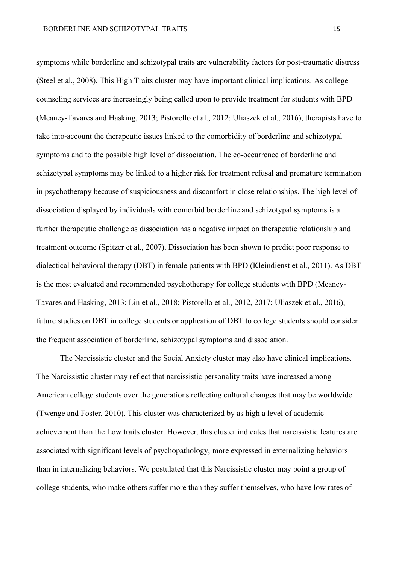symptoms while borderline and schizotypal traits are vulnerability factors for post-traumatic distress (Steel et al., 2008). This High Traits cluster may have important clinical implications. As college counseling services are increasingly being called upon to provide treatment for students with BPD (Meaney-Tavares and Hasking, 2013; Pistorello et al., 2012; Uliaszek et al., 2016), therapists have to take into-account the therapeutic issues linked to the comorbidity of borderline and schizotypal symptoms and to the possible high level of dissociation. The co-occurrence of borderline and schizotypal symptoms may be linked to a higher risk for treatment refusal and premature termination in psychotherapy because of suspiciousness and discomfort in close relationships. The high level of dissociation displayed by individuals with comorbid borderline and schizotypal symptoms is a further therapeutic challenge as dissociation has a negative impact on therapeutic relationship and treatment outcome (Spitzer et al., 2007). Dissociation has been shown to predict poor response to dialectical behavioral therapy (DBT) in female patients with BPD (Kleindienst et al., 2011). As DBT is the most evaluated and recommended psychotherapy for college students with BPD (Meaney-Tavares and Hasking, 2013; Lin et al., 2018; Pistorello et al., 2012, 2017; Uliaszek et al., 2016), future studies on DBT in college students or application of DBT to college students should consider the frequent association of borderline, schizotypal symptoms and dissociation.

The Narcissistic cluster and the Social Anxiety cluster may also have clinical implications. The Narcissistic cluster may reflect that narcissistic personality traits have increased among American college students over the generations reflecting cultural changes that may be worldwide (Twenge and Foster, 2010). This cluster was characterized by as high a level of academic achievement than the Low traits cluster. However, this cluster indicates that narcissistic features are associated with significant levels of psychopathology, more expressed in externalizing behaviors than in internalizing behaviors. We postulated that this Narcissistic cluster may point a group of college students, who make others suffer more than they suffer themselves, who have low rates of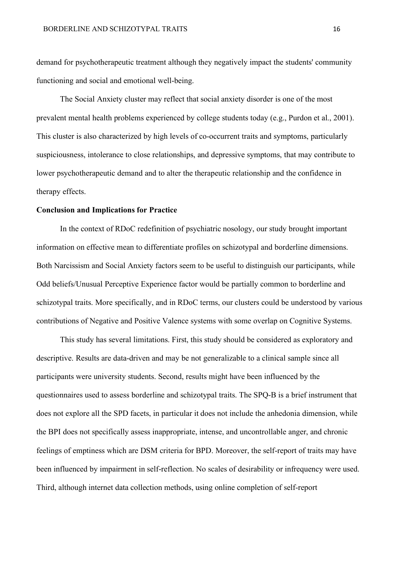demand for psychotherapeutic treatment although they negatively impact the students' community functioning and social and emotional well-being.

The Social Anxiety cluster may reflect that social anxiety disorder is one of the most prevalent mental health problems experienced by college students today (e.g., Purdon et al., 2001). This cluster is also characterized by high levels of co-occurrent traits and symptoms, particularly suspiciousness, intolerance to close relationships, and depressive symptoms, that may contribute to lower psychotherapeutic demand and to alter the therapeutic relationship and the confidence in therapy effects.

#### **Conclusion and Implications for Practice**

In the context of RDoC redefinition of psychiatric nosology, our study brought important information on effective mean to differentiate profiles on schizotypal and borderline dimensions. Both Narcissism and Social Anxiety factors seem to be useful to distinguish our participants, while Odd beliefs/Unusual Perceptive Experience factor would be partially common to borderline and schizotypal traits. More specifically, and in RDoC terms, our clusters could be understood by various contributions of Negative and Positive Valence systems with some overlap on Cognitive Systems.

This study has several limitations. First, this study should be considered as exploratory and descriptive. Results are data-driven and may be not generalizable to a clinical sample since all participants were university students. Second, results might have been influenced by the questionnaires used to assess borderline and schizotypal traits. The SPQ-B is a brief instrument that does not explore all the SPD facets, in particular it does not include the anhedonia dimension, while the BPI does not specifically assess inappropriate, intense, and uncontrollable anger, and chronic feelings of emptiness which are DSM criteria for BPD. Moreover, the self-report of traits may have been influenced by impairment in self-reflection. No scales of desirability or infrequency were used. Third, although internet data collection methods, using online completion of self-report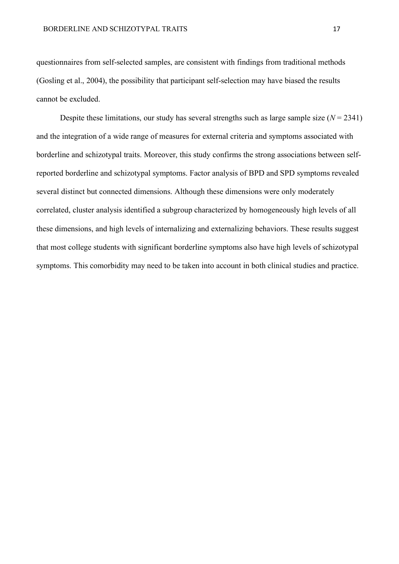questionnaires from self-selected samples, are consistent with findings from traditional methods (Gosling et al., 2004), the possibility that participant self-selection may have biased the results cannot be excluded.

Despite these limitations, our study has several strengths such as large sample size  $(N = 2341)$ and the integration of a wide range of measures for external criteria and symptoms associated with borderline and schizotypal traits. Moreover, this study confirms the strong associations between selfreported borderline and schizotypal symptoms. Factor analysis of BPD and SPD symptoms revealed several distinct but connected dimensions. Although these dimensions were only moderately correlated, cluster analysis identified a subgroup characterized by homogeneously high levels of all these dimensions, and high levels of internalizing and externalizing behaviors. These results suggest that most college students with significant borderline symptoms also have high levels of schizotypal symptoms. This comorbidity may need to be taken into account in both clinical studies and practice.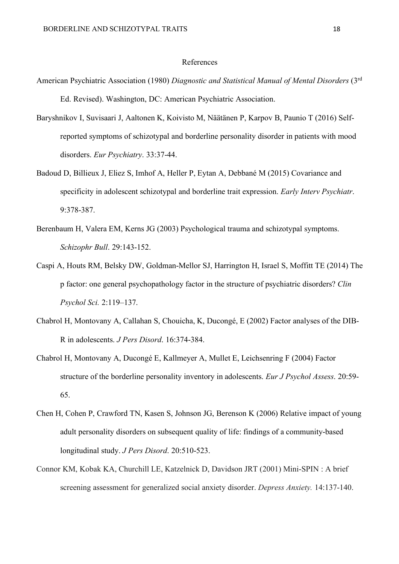## References

- American Psychiatric Association (1980) *Diagnostic and Statistical Manual of Mental Disorders* (3rd Ed. Revised). Washington, DC: American Psychiatric Association.
- Baryshnikov I, Suvisaari J, Aaltonen K, Koivisto M, Näätänen P, Karpov B, Paunio T (2016) Selfreported symptoms of schizotypal and borderline personality disorder in patients with mood disorders. *Eur Psychiatry*. 33:37-44.
- Badoud D, Billieux J, Eliez S, Imhof A, Heller P, Eytan A, Debbané M (2015) Covariance and specificity in adolescent schizotypal and borderline trait expression. *Early Interv Psychiatr*. 9:378-387.
- Berenbaum H, Valera EM, Kerns JG (2003) Psychological trauma and schizotypal symptoms. *Schizophr Bull*. 29:143-152.
- Caspi A, Houts RM, Belsky DW, Goldman-Mellor SJ, Harrington H, Israel S, Moffitt TE (2014) The p factor: one general psychopathology factor in the structure of psychiatric disorders? *Clin Psychol Sci.* 2:119–137.
- Chabrol H, Montovany A, Callahan S, Chouicha, K, Ducongé, E (2002) Factor analyses of the DIB-R in adolescents. *J Pers Disord*. 16:374-384.
- Chabrol H, Montovany A, Ducongé E, Kallmeyer A, Mullet E, Leichsenring F (2004) Factor structure of the borderline personality inventory in adolescents. *Eur J Psychol Assess*. 20:59- 65.
- Chen H, Cohen P, Crawford TN, Kasen S, Johnson JG, Berenson K (2006) Relative impact of young adult personality disorders on subsequent quality of life: findings of a community-based longitudinal study. *J Pers Disord*. 20:510-523.
- Connor KM, Kobak KA, Churchill LE, Katzelnick D, Davidson JRT (2001) Mini-SPIN : A brief screening assessment for generalized social anxiety disorder. *Depress Anxiety.* 14:137-140.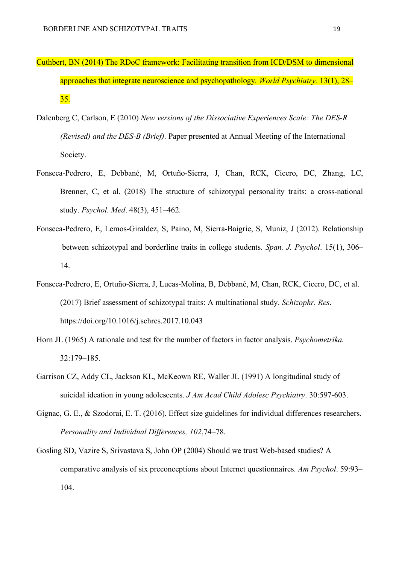- Cuthbert, BN (2014) The RDoC framework: Facilitating transition from ICD/DSM to dimensional approaches that integrate neuroscience and psychopathology*. World Psychiatry.* 13(1), 28– 35.
- Dalenberg C, Carlson, E (2010) *New versions of the Dissociative Experiences Scale: The DES-R (Revised) and the DES-B (Brief)*. Paper presented at Annual Meeting of the International Society.
- Fonseca-Pedrero, E, Debbané, M, Ortuño-Sierra, J, Chan, RCK, Cicero, DC, Zhang, LC, Brenner, C, et al. (2018) The structure of schizotypal personality traits: a cross-national study. *Psychol. Med*. 48(3), 451–462.
- Fonseca-Pedrero, E, Lemos-Giraldez, S, Paino, M, Sierra-Baigrie, S, Muniz, J (2012). Relationship between schizotypal and borderline traits in college students. *Span. J. Psychol*. 15(1), 306– 14.
- Fonseca-Pedrero, E, Ortuño-Sierra, J, Lucas-Molina, B, Debbané, M, Chan, RCK, Cicero, DC, et al. (2017) Brief assessment of schizotypal traits: A multinational study. *Schizophr. Res*. https://doi.org/10.1016/j.schres.2017.10.043
- Horn JL (1965) A rationale and test for the number of factors in factor analysis. *Psychometrika.* 32:179–185.
- Garrison CZ, Addy CL, Jackson KL, McKeown RE, Waller JL (1991) A longitudinal study of suicidal ideation in young adolescents. *J Am Acad Child Adolesc Psychiatry*. 30:597-603.
- Gignac, G. E., & Szodorai, E. T. (2016). Effect size guidelines for individual differences researchers. *Personality and Individual Differences, 102*,74–78.
- Gosling SD, Vazire S, Srivastava S, John OP (2004) Should we trust Web-based studies? A comparative analysis of six preconceptions about Internet questionnaires. *Am Psychol*. 59:93– 104.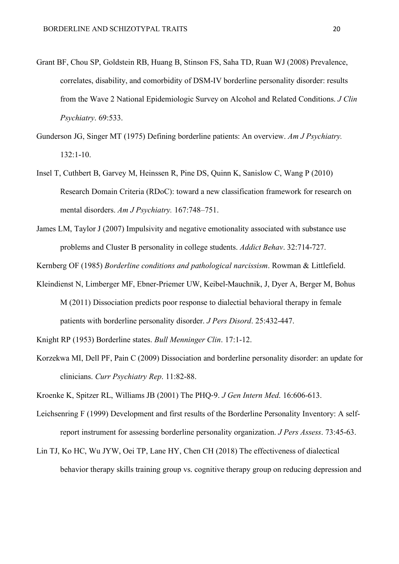- Grant BF, Chou SP, Goldstein RB, Huang B, Stinson FS, Saha TD, Ruan WJ (2008) Prevalence, correlates, disability, and comorbidity of DSM-IV borderline personality disorder: results from the Wave 2 National Epidemiologic Survey on Alcohol and Related Conditions. *J Clin Psychiatry*. 69:533.
- Gunderson JG, Singer MT (1975) Defining borderline patients: An overview. *Am J Psychiatry.* 132:1-10.
- Insel T, Cuthbert B, Garvey M, Heinssen R, Pine DS, Quinn K, Sanislow C, Wang P (2010) Research Domain Criteria (RDoC): toward a new classification framework for research on mental disorders. *Am J Psychiatry.* 167:748–751.
- James LM, Taylor J (2007) Impulsivity and negative emotionality associated with substance use problems and Cluster B personality in college students. *Addict Behav*. 32:714-727.
- Kernberg OF (1985) *Borderline conditions and pathological narcissism*. Rowman & Littlefield.
- Kleindienst N, Limberger MF, Ebner-Priemer UW, Keibel-Mauchnik, J, Dyer A, Berger M, Bohus M (2011) Dissociation predicts poor response to dialectial behavioral therapy in female patients with borderline personality disorder. *J Pers Disord*. 25:432-447.

Knight RP (1953) Borderline states. *Bull Menninger Clin*. 17:1-12.

Korzekwa MI, Dell PF, Pain C (2009) Dissociation and borderline personality disorder: an update for clinicians. *Curr Psychiatry Rep*. 11:82-88.

Kroenke K, Spitzer RL, Williams JB (2001) The PHQ-9. *J Gen Intern Med*. 16:606-613.

- Leichsenring F (1999) Development and first results of the Borderline Personality Inventory: A selfreport instrument for assessing borderline personality organization. *J Pers Assess*. 73:45-63.
- Lin TJ, Ko HC, Wu JYW, Oei TP, Lane HY, Chen CH (2018) The effectiveness of dialectical behavior therapy skills training group vs. cognitive therapy group on reducing depression and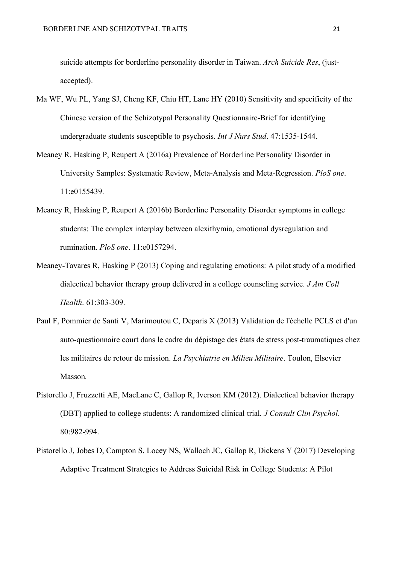suicide attempts for borderline personality disorder in Taiwan. *Arch Suicide Res*, (justaccepted).

- Ma WF, Wu PL, Yang SJ, Cheng KF, Chiu HT, Lane HY (2010) Sensitivity and specificity of the Chinese version of the Schizotypal Personality Questionnaire-Brief for identifying undergraduate students susceptible to psychosis. *Int J Nurs Stud*. 47:1535-1544.
- Meaney R, Hasking P, Reupert A (2016a) Prevalence of Borderline Personality Disorder in University Samples: Systematic Review, Meta-Analysis and Meta-Regression. *PloS one*. 11:e0155439.
- Meaney R, Hasking P, Reupert A (2016b) Borderline Personality Disorder symptoms in college students: The complex interplay between alexithymia, emotional dysregulation and rumination. *PloS one*. 11:e0157294.
- Meaney-Tavares R, Hasking P (2013) Coping and regulating emotions: A pilot study of a modified dialectical behavior therapy group delivered in a college counseling service. *J Am Coll Health*. 61:303-309.
- Paul F, Pommier de Santi V, Marimoutou C, Deparis X (2013) Validation de l'échelle PCLS et d'un auto-questionnaire court dans le cadre du dépistage des états de stress post-traumatiques chez les militaires de retour de mission. *La Psychiatrie en Milieu Militaire*. Toulon, Elsevier Masson*.*
- Pistorello J, Fruzzetti AE, MacLane C, Gallop R, Iverson KM (2012). Dialectical behavior therapy (DBT) applied to college students: A randomized clinical trial. *J Consult Clin Psychol*. 80:982-994.
- Pistorello J, Jobes D, Compton S, Locey NS, Walloch JC, Gallop R, Dickens Y (2017) Developing Adaptive Treatment Strategies to Address Suicidal Risk in College Students: A Pilot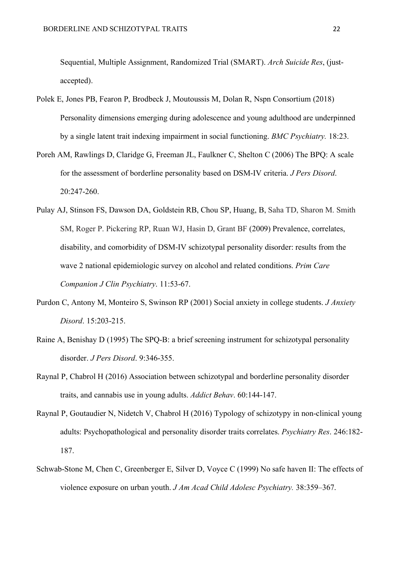Sequential, Multiple Assignment, Randomized Trial (SMART). *Arch Suicide Res*, (justaccepted).

- Polek E, Jones PB, Fearon P, Brodbeck J, Moutoussis M, Dolan R, Nspn Consortium (2018) Personality dimensions emerging during adolescence and young adulthood are underpinned by a single latent trait indexing impairment in social functioning. *BMC Psychiatry.* 18:23.
- Poreh AM, Rawlings D, Claridge G, Freeman JL, Faulkner C, Shelton C (2006) The BPQ: A scale for the assessment of borderline personality based on DSM-IV criteria. *J Pers Disord*. 20:247-260.
- Pulay AJ, Stinson FS, Dawson DA, Goldstein RB, Chou SP, Huang, B, Saha TD, Sharon M. Smith SM, Roger P. Pickering RP, Ruan WJ, Hasin D, Grant BF (2009) Prevalence, correlates, disability, and comorbidity of DSM-IV schizotypal personality disorder: results from the wave 2 national epidemiologic survey on alcohol and related conditions. *Prim Care Companion J Clin Psychiatry*. 11:53-67.
- Purdon C, Antony M, Monteiro S, Swinson RP (2001) Social anxiety in college students. *J Anxiety Disord*. 15:203-215.
- Raine A, Benishay D (1995) The SPQ-B: a brief screening instrument for schizotypal personality disorder. *J Pers Disord*. 9:346-355.
- Raynal P, Chabrol H (2016) Association between schizotypal and borderline personality disorder traits, and cannabis use in young adults. *Addict Behav*. 60:144-147.
- Raynal P, Goutaudier N, Nidetch V, Chabrol H (2016) Typology of schizotypy in non-clinical young adults: Psychopathological and personality disorder traits correlates. *Psychiatry Res*. 246:182- 187.
- Schwab-Stone M, Chen C, Greenberger E, Silver D, Voyce C (1999) No safe haven II: The effects of violence exposure on urban youth. *J Am Acad Child Adolesc Psychiatry.* 38:359–367.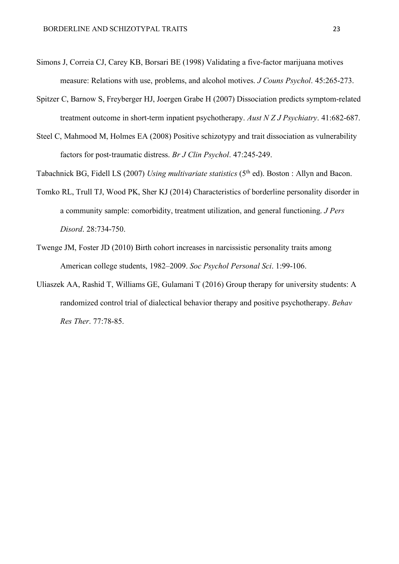- Simons J, Correia CJ, Carey KB, Borsari BE (1998) Validating a five-factor marijuana motives measure: Relations with use, problems, and alcohol motives. *J Couns Psychol*. 45:265-273.
- Spitzer C, Barnow S, Freyberger HJ, Joergen Grabe H (2007) Dissociation predicts symptom-related treatment outcome in short-term inpatient psychotherapy. *Aust N Z J Psychiatry*. 41:682-687.
- Steel C, Mahmood M, Holmes EA (2008) Positive schizotypy and trait dissociation as vulnerability factors for post-traumatic distress. *Br J Clin Psychol*. 47:245-249.

Tabachnick BG, Fidell LS (2007) *Using multivariate statistics* (5th ed). Boston : Allyn and Bacon.

- Tomko RL, Trull TJ, Wood PK, Sher KJ (2014) Characteristics of borderline personality disorder in a community sample: comorbidity, treatment utilization, and general functioning. *J Pers Disord*. 28:734-750.
- Twenge JM, Foster JD (2010) Birth cohort increases in narcissistic personality traits among American college students, 1982–2009. *Soc Psychol Personal Sci*. 1:99-106.
- Uliaszek AA, Rashid T, Williams GE, Gulamani T (2016) Group therapy for university students: A randomized control trial of dialectical behavior therapy and positive psychotherapy. *Behav Res Ther*. 77:78-85.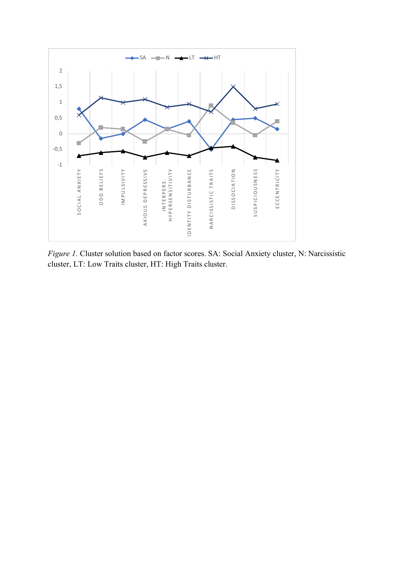

*Figure 1.* Cluster solution based on factor scores. SA: Social Anxiety cluster, N: Narcissistic cluster, LT: Low Traits cluster, HT: High Traits cluster.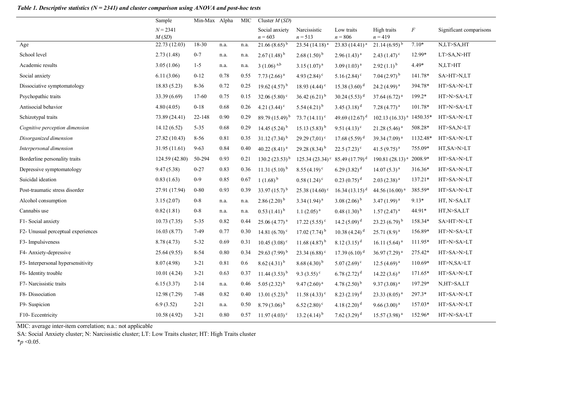# *Table 1. Descriptive statistics (N = 2341) and cluster comparison using ANOVA and post-hoc tests*

|                                    | Sample              | Min-Max Alpha |      | MIC  | Cluster $M(SD)$             |                             |                             |                            |           |                         |  |
|------------------------------------|---------------------|---------------|------|------|-----------------------------|-----------------------------|-----------------------------|----------------------------|-----------|-------------------------|--|
|                                    | $N = 2341$<br>M(SD) |               |      |      | Social anxiety<br>$n = 603$ | Narcissistic<br>$n = 513$   | Low traits<br>$n = 806$     | High traits<br>$n = 419$   | $\,F$     | Significant comparisons |  |
| Age                                | 22.73 (12.03)       | 18-30         | n.a. | n.a. | $21.66(8.65)^{b}$           | 23.54 $(14.18)^{a}$         | 23.83 $(14.41)^{a}$         | $21.14(6.95)^{b}$          | $7.10*$   | N,LT>SA,HT              |  |
| School level                       | 2.73(1.48)          | $0 - 7$       | n.a. | n.a. | $2.67(1.48)^{b}$            | $2.68(1.50)^{b}$            | $2.96(1.43)^{a}$            | $2.43(1.47)^c$             | 12.99*    | LT>SA,N>HT              |  |
| Academic results                   | 3.05(1.06)          | $1-5$         | n.a. | n.a. | $3(1.06)$ <sup>a,b</sup>    | $3.15(1.07)^{a}$            | $3.09(1.03)^{a}$            | $2.92(1.1)^{b}$            | 4.49*     | N,LT>HT                 |  |
| Social anxiety                     | 6.11(3.06)          | $0 - 12$      | 0.78 | 0.55 | 7.73 $(2.66)^a$             | 4.93 $(2.84)$ <sup>c</sup>  | $5.16(2.84)^c$              | 7.04 $(2.97)^{b}$          | 141.78*   | SA>HT>N,LT              |  |
| Dissociative symptomatology        | 18.83 (5.23)        | $8 - 36$      | 0.72 | 0.25 | 19.62 $(4.57)^{b}$          | 18.93 $(4.44)$ <sup>c</sup> | 15.38 $(3.60)^d$            | $24.2(4.99)^{a}$           | 394.78*   | HT>SA>N>LT              |  |
| Psychopathic traits                | 33.39 (6.69)        | $17-60$       | 0.75 | 0.15 | 32.06 $(5.80)$ <sup>c</sup> | 36.42 $(6.21)^{b}$          | 30.24 $(5.53)^d$            | 37.64 $(6.72)^{a}$         | 199.2*    | HT>N>SA>LT              |  |
| Antisocial behavior                | 4.80(4.05)          | $0 - 18$      | 0.68 | 0.26 | 4.21 $(3.44)^c$             | 5.54 $(4.21)^{b}$           | $3.45(3.18)^{d}$            | 7.28 $(4.77)^a$            | 101.78*   | HT>N>SA>LT              |  |
| Schizotypal traits                 | 73.89 (24.41)       | 22-148        | 0.90 | 0.29 | 89.79 $(15.49)^{b}$         | $73.7(14.11)^c$             | 49.69 $(12.67)^d$           | $102.13(16.33)^{a}$        | 1450.35*  | HT>SA>N>LT              |  |
| Cognitive perception dimension     | 14.12(6.52)         | $5 - 35$      | 0.68 | 0.29 | 14.45 $(5.24)^{b}$          | $15.13(5.83)^{b}$           | 9.51 $(4.13)^c$             | $21.28(5.46)^{a}$          | 508.28*   | HT>SA,N>LT              |  |
| Disorganized dimension             | 27.82 (10.43)       | $8 - 56$      | 0.81 | 0.35 | $31.12(7.34)^{b}$           | 29.29 $(7,01)$ <sup>c</sup> | 17.68 $(5.59)^d$            | 39.34 $(7.09)^{a}$         | 1132.48*  | HT>SA>N>LT              |  |
| Interpersonal dimension            | 31.95 (11.61)       | $9 - 63$      | 0.84 | 0.40 | 40.22 $(8.41)^a$            | 29.28 $(8.34)$ <sup>b</sup> | $22.5(7.23)^c$              | 41.5 $(9.75)^{a}$          | 755.09*   | HT, SA>N>LT             |  |
| Borderline personality traits      | 124.59 (42.80)      | 50-294        | 0.93 | 0.21 | 130.2 $(23.53)^{b}$         | $125.34(23.34)^c$           | 85.49 $(17.79)^d$           | 190.81 $(28.13)^{a}$       | 2008.9*   | HT>SA>N>LT              |  |
| Depressive symptomatology          | 9.47(5.38)          | $0 - 27$      | 0.83 | 0.36 | 11.31 $(5.10)^{b}$          | $8.55(4.19)^c$              | $6.29(3.82)^{d}$            | $14.07(5.3)^{a}$           | 316.36*   | HT>SA>N>LT              |  |
| Suicidal ideation                  | 0.83(1.63)          | $0 - 9$       | 0.85 | 0.67 | 1 $(1.68)^{b}$              | $0.58(1.24)^c$              | $0.23(0.75)^{d}$            | $2.03(2.38)^{a}$           | $137.21*$ | HT>SA>N>LT              |  |
| Post-traumatic stress disorder     | 27.91 (17.94)       | $0 - 80$      | 0.93 | 0.39 | 33.97 $(15.7)^{b}$          | $25.38(14.60)$ <sup>c</sup> | $16.34(13.15)^{d}$          | 44.56 (16.00) <sup>a</sup> | 385.59*   | HT>SA>N>LT              |  |
| Alcohol consumption                | 3.15(2.07)          | $0 - 8$       | n.a. | n.a. | $2.86(2.20)^{b}$            | $3.34(1.94)^{a}$            | 3.08 $(2.06)^{b}$           | $3.47(1.99)^{a}$           | $9.13*$   | HT, N>SA,LT             |  |
| Cannabis use                       | 0.82(1.81)          | $0 - 8$       | n.a. | n.a. | $0.53(1.41)^{b}$            | $1.1(2.05)^{a}$             | $0.48(1.30)^{b}$            | $1.57(2.47)^{a}$           | 44.91*    | HT,N>SA,LT              |  |
| F1- Social anxiety                 | 10.73(7.35)         | $5 - 35$      | 0.82 | 0.44 | 25.06 $(4.77)^{a}$          | $17.22(5.55)^{\circ}$       | 14.2 $(5.09)^d$             | 23.23 $(6.79)^{b}$         | 158.34*   | SA>HT>N>LT              |  |
| F2- Unusual perceptual experiences | 16.03(8.77)         | $7-49$        | 0.77 | 0.30 | 14.81 $(6.70)^c$            | 17.02 $(7.74)^{b}$          | 10.38 $(4.24)$ <sup>d</sup> | $25.71(8.9)^{a}$           | 156.89*   | HT>N>SA>LT              |  |
| F3- Impulsiveness                  | 8.78(4.73)          | $5 - 32$      | 0.69 | 0.31 | $10.45(3.08)^c$             | 11.68 $(4.87)^{b}$          | $8.12(3.15)^{d}$            | 16.11 $(5.64)^a$           | 111.95*   | HT>N>SA>LT              |  |
| F4- Anxiety-depressive             | 25.64 (9.55)        | $8 - 54$      | 0.80 | 0.34 | 29.63 $(7.99)^{b}$          | 23.34 $(6.88)$ <sup>c</sup> | 17.39 $(6.10)^d$            | 36.97 (7.29) <sup>a</sup>  | 275.42*   | HT>SA>N>LT              |  |
| F5-Interpersonal hypersensitivity  | 8.07(4.98)          | $3 - 21$      | 0.81 | 0.6  | $8.62(4.31)^{b}$            | $8.68(4.30)^{b}$            | $5.07(2.69)^c$              | $12.5(4.69)^{a}$           | 110.69*   | HT>N,SA>LT              |  |
| F6- Identity trouble               | 10.01(4.24)         | $3 - 21$      | 0.63 | 0.37 | 11.44 $(3.53)^{b}$          | 9.3 $(3.55)^c$              | 6.78 $(2.72)^d$             | 14.22 $(3.6)^a$            | 171.65*   | HT>SA>N>LT              |  |
| F7- Narcissistic traits            | 6.15(3.37)          | $2 - 14$      | n.a. | 0.46 | $5.05(2.32)^{b}$            | $9.47(2.60)^{a}$            | 4.78 $(2.50)^{b}$           | $9.37(3.08)^{a}$           | 197.29*   | N,HT>SA,LT              |  |
| F8-Dissociation                    | 12.98 (7.29)        | $7 - 48$      | 0.82 | 0.40 | 13.01 $(5.23)^{b}$          | $11.58(4.33)^c$             | $8.23(2.19)^d$              | $23.33(8.05)^{a}$          | 297.3*    | HT>SA>N>LT              |  |
| F9-Suspicion                       | 6.9(3.52)           | $2 - 21$      | n.a. | 0.50 | $8.79(3.06)^{b}$            | $6.52(2.80)$ <sup>c</sup>   | 4.18 $(2.20)^d$             | 9.66(3.00) <sup>a</sup>    | 157.03*   | HT>SA>N>LT              |  |
| F10-Eccentricity                   | 10.58 (4.92)        | $3 - 21$      | 0.80 | 0.57 | $11.97(4.03)^{c}$           | 13.2 $(4.14)^{b}$           | 7.62 $(3.29)^d$             | $15.57(3.98)^{a}$          | 152.96*   | HT>N>SA>LT              |  |

MIC: average inter-item correlation; n.a.: not applicable

SA: Social Anxiety cluster; N: Narcissistic cluster; LT: Low Traits cluster; HT: High Traits cluster

\**p* <0.05.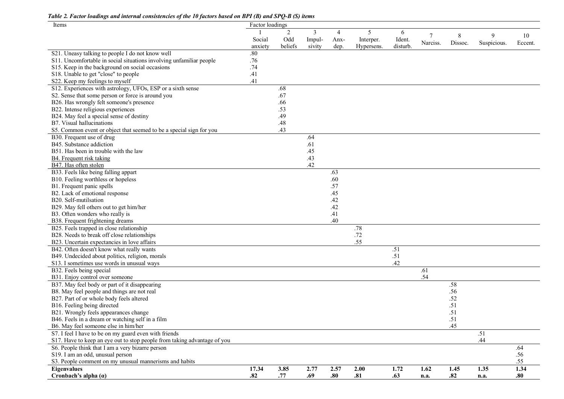| Items                                                                    | Factor loadings |                |        |                |            |          |               |              |             |               |
|--------------------------------------------------------------------------|-----------------|----------------|--------|----------------|------------|----------|---------------|--------------|-------------|---------------|
|                                                                          |                 | $\overline{2}$ | 3      | $\overline{4}$ | 5          | 6        |               |              | 9           |               |
|                                                                          | Social          | Odd            | Impul- | Anx-           | Interper.  | Ident.   | 7<br>Narciss. | 8<br>Dissoc. | Suspicious. | 10<br>Eccent. |
|                                                                          | anxiety         | beliefs        | sivity | dep.           | Hypersens. | disturb. |               |              |             |               |
| S21. Uneasy talking to people I do not know well                         | $.80\,$         |                |        |                |            |          |               |              |             |               |
| S11. Uncomfortable in social situations involving unfamiliar people      | .76             |                |        |                |            |          |               |              |             |               |
| S15. Keep in the background on social occasions                          | .74             |                |        |                |            |          |               |              |             |               |
| S18. Unable to get "close" to people                                     | .41             |                |        |                |            |          |               |              |             |               |
| S22. Keep my feelings to myself                                          | .41             |                |        |                |            |          |               |              |             |               |
| S12. Experiences with astrology, UFOs, ESP or a sixth sense              |                 | .68            |        |                |            |          |               |              |             |               |
| S2. Sense that some person or force is around you                        |                 | .67            |        |                |            |          |               |              |             |               |
| B26. Has wrongly felt someone's presence                                 |                 | .66            |        |                |            |          |               |              |             |               |
| B22. Intense religious experiences                                       |                 | .53            |        |                |            |          |               |              |             |               |
| B24. May feel a special sense of destiny                                 |                 | .49            |        |                |            |          |               |              |             |               |
| B7. Visual hallucinations                                                |                 | .48            |        |                |            |          |               |              |             |               |
| S5. Common event or object that seemed to be a special sign for you      |                 | .43            |        |                |            |          |               |              |             |               |
| B30. Frequent use of drug                                                |                 |                | .64    |                |            |          |               |              |             |               |
| B45. Substance addiction                                                 |                 |                | .61    |                |            |          |               |              |             |               |
| B51. Has been in trouble with the law                                    |                 |                | .45    |                |            |          |               |              |             |               |
| B4. Frequent risk taking                                                 |                 |                | .43    |                |            |          |               |              |             |               |
| B47. Has often stolen                                                    |                 |                | .42    |                |            |          |               |              |             |               |
| B33. Feels like being falling appart                                     |                 |                |        | .63            |            |          |               |              |             |               |
| B10. Feeling worthless or hopeless                                       |                 |                |        | .60            |            |          |               |              |             |               |
| B1. Frequent panic spells                                                |                 |                |        | .57            |            |          |               |              |             |               |
| B2. Lack of emotional response                                           |                 |                |        | .45            |            |          |               |              |             |               |
| B20. Self-mutilsation                                                    |                 |                |        | .42            |            |          |               |              |             |               |
| B29. May fell others out to get him/her                                  |                 |                |        | .42            |            |          |               |              |             |               |
| B3. Often wonders who really is                                          |                 |                |        | .41            |            |          |               |              |             |               |
| B38. Frequent frightening dreams                                         |                 |                |        | .40            |            |          |               |              |             |               |
| B25. Feels trapped in close relationship                                 |                 |                |        |                | .78        |          |               |              |             |               |
| B28. Needs to break off close relationships                              |                 |                |        |                | .72        |          |               |              |             |               |
| B23. Uncertain expectancies in love affairs                              |                 |                |        |                | .55        |          |               |              |             |               |
| B42. Often doesn't know what really wants                                |                 |                |        |                |            | .51      |               |              |             |               |
| B49. Undecided about politics, religion, morals                          |                 |                |        |                |            | .51      |               |              |             |               |
| S13. I sometimes use words in unusual ways                               |                 |                |        |                |            | .42      |               |              |             |               |
| B32. Feels being special                                                 |                 |                |        |                |            |          | .61           |              |             |               |
| B31. Enjoy control over someone                                          |                 |                |        |                |            |          | .54           |              |             |               |
| B37. May feel body or part of it disappearing                            |                 |                |        |                |            |          |               | .58          |             |               |
| B8. May feel people and things are not real                              |                 |                |        |                |            |          |               | .56          |             |               |
| B27. Part of or whole body feels altered                                 |                 |                |        |                |            |          |               | .52          |             |               |
| B16. Feeling being directed                                              |                 |                |        |                |            |          |               | .51          |             |               |
| B21. Wrongly feels appearances change                                    |                 |                |        |                |            |          |               | .51          |             |               |
| B46. Feels in a dream or watching self in a film                         |                 |                |        |                |            |          |               | .51          |             |               |
| B6. May feel someone else in him/her                                     |                 |                |        |                |            |          |               | .45          |             |               |
| S7. I feel I have to be on my guard even with friends                    |                 |                |        |                |            |          |               |              | .51         |               |
| S17. Have to keep an eye out to stop people from taking advantage of you |                 |                |        |                |            |          |               |              | .44         |               |
| S6. People think that I am a very bizarre person                         |                 |                |        |                |            |          |               |              |             | .64           |
| S19. I am an odd, unusual person                                         |                 |                |        |                |            |          |               |              |             | .56           |
| S3. People comment on my unusual mannerisms and habits                   |                 |                |        |                |            |          |               |              |             | .55           |
| Eigenvalues                                                              | 17.34           | 3.85           | 2.77   | 2.57           | 2.00       | 1.72     | 1.62          | 1.45         | 1.35        | 1.34          |
| Cronbach's alpha $(a)$                                                   | .82             | .77            | .69    | .80            | .81        | .63      | n.a.          | .82          | n.a.        | .80           |

*Table 2. Factor loadings and internal consistencies of the 10 factors based on BPI (B) and SPQ-B (S) items*